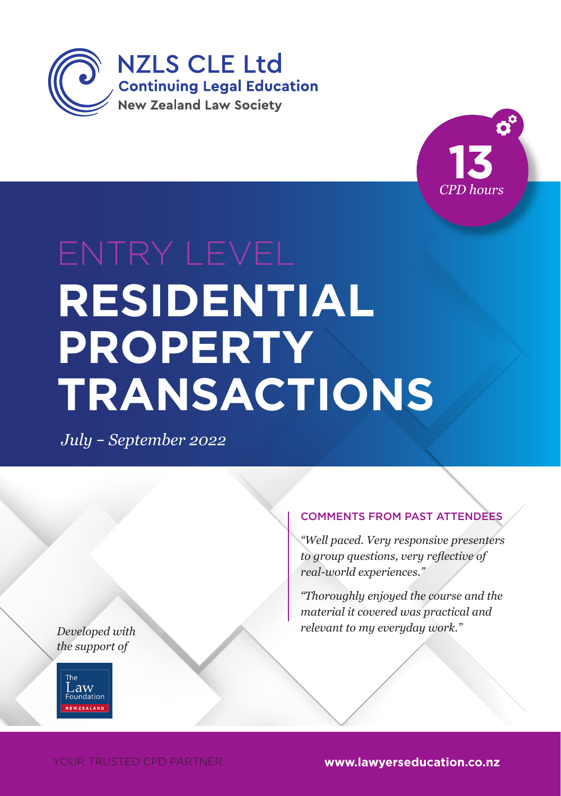



# **HEADING RESIDENTIAL**  PROPERTY *Month 2014* **TRANSACTIONS**

*July* – *September 2022*

*Developed with the support of*



#### COMMENTS FROM PAST ATTENDEES

*"Well paced. Very responsive presenters to group questions, very reflective of real-world experiences."*

*"Thoroughly enjoyed the course and the material it covered was practical and relevant to my everyday work."*

YOUR TRUSTED CPD PARTNER **www.lawyerseducation.co.nz**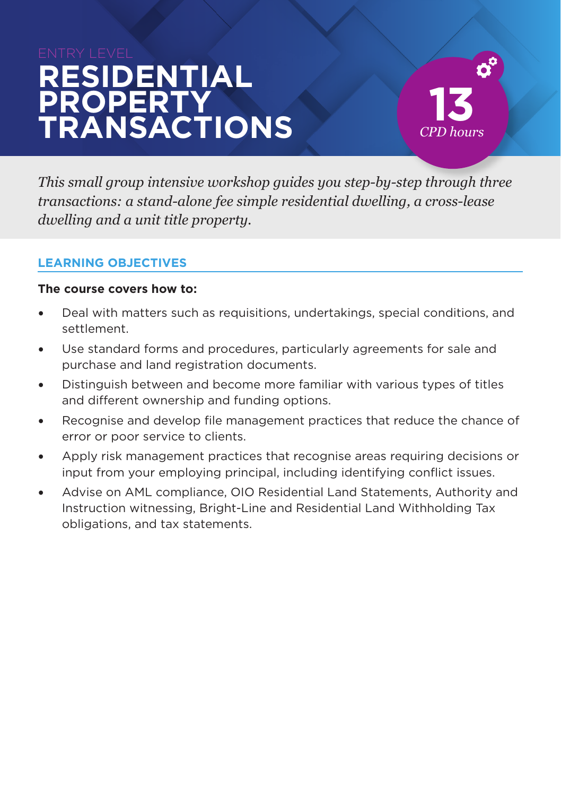## ENTRY LEVEL **RESIDENTIAL PROPERTY TRANSACTIONS**



*This small group intensive workshop guides you step-by-step through three transactions: a stand-alone fee simple residential dwelling, a cross-lease dwelling and a unit title property.*

#### **LEARNING OBJECTIVES**

#### **The course covers how to:**

- Deal with matters such as requisitions, undertakings, special conditions, and settlement.
- Use standard forms and procedures, particularly agreements for sale and purchase and land registration documents.
- Distinguish between and become more familiar with various types of titles and different ownership and funding options.
- Recognise and develop file management practices that reduce the chance of error or poor service to clients.
- Apply risk management practices that recognise areas requiring decisions or input from your employing principal, including identifying conflict issues.
- Advise on AML compliance, OIO Residential Land Statements, Authority and Instruction witnessing, Bright-Line and Residential Land Withholding Tax obligations, and tax statements.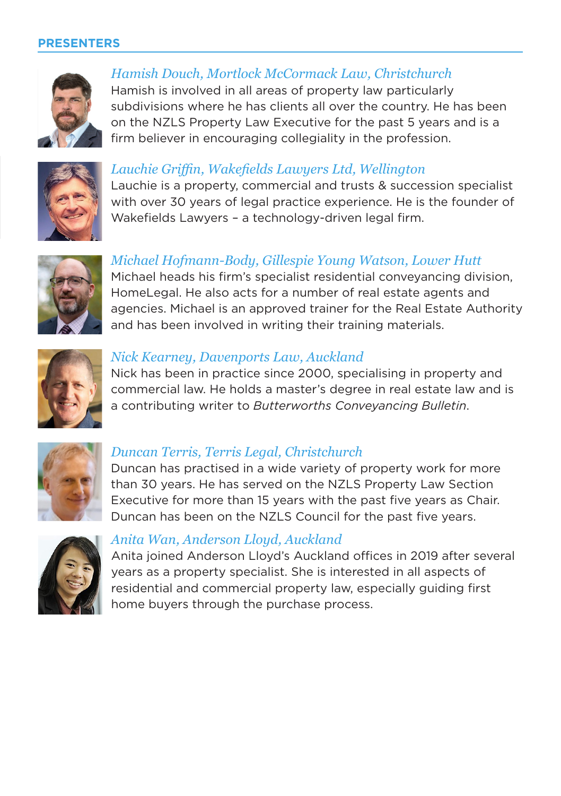#### **PRESENTERS**



*Hamish Douch, Mortlock McCormack Law, Christchurch* Hamish is involved in all areas of property law particularly subdivisions where he has clients all over the country. He has been on the NZLS Property Law Executive for the past 5 years and is a firm believer in encouraging collegiality in the profession.



#### *Lauchie Griffin, Wakefields Lawyers Ltd, Wellington*

Lauchie is a property, commercial and trusts & succession specialist with over 30 years of legal practice experience. He is the founder of Wakefields Lawyers – a technology-driven legal firm.



#### *Michael Hofmann-Body, Gillespie Young Watson, Lower Hutt*  Michael heads his firm's specialist residential conveyancing division, HomeLegal. He also acts for a number of real estate agents and agencies. Michael is an approved trainer for the Real Estate Authority and has been involved in writing their training materials.



#### *Nick Kearney, Davenports Law, Auckland*

Nick has been in practice since 2000, specialising in property and commercial law. He holds a master's degree in real estate law and is a contributing writer to *Butterworths Conveyancing Bulletin*.



#### *Duncan Terris, Terris Legal, Christchurch*

Duncan has practised in a wide variety of property work for more than 30 years. He has served on the NZLS Property Law Section Executive for more than 15 years with the past five years as Chair. Duncan has been on the NZLS Council for the past five years.



#### *Anita Wan, Anderson Lloyd, Auckland*

Anita joined Anderson Lloyd's Auckland offices in 2019 after several years as a property specialist. She is interested in all aspects of residential and commercial property law, especially guiding first home buyers through the purchase process.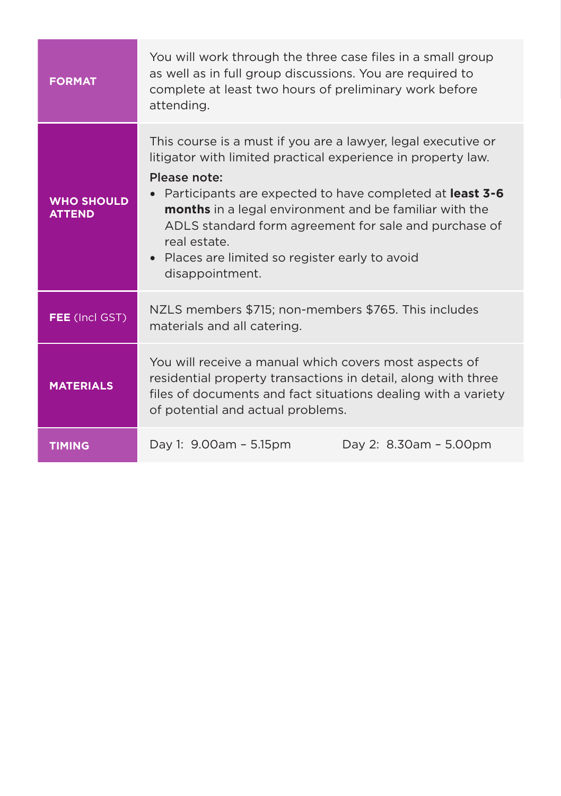| <b>FORMAT</b>                      | You will work through the three case files in a small group<br>as well as in full group discussions. You are required to<br>complete at least two hours of preliminary work before<br>attending.                                                                                                                                                                                                                          |                        |
|------------------------------------|---------------------------------------------------------------------------------------------------------------------------------------------------------------------------------------------------------------------------------------------------------------------------------------------------------------------------------------------------------------------------------------------------------------------------|------------------------|
| <b>WHO SHOULD</b><br><b>ATTEND</b> | This course is a must if you are a lawyer, legal executive or<br>litigator with limited practical experience in property law.<br>Please note:<br>Participants are expected to have completed at least 3-6<br><b>months</b> in a legal environment and be familiar with the<br>ADLS standard form agreement for sale and purchase of<br>real estate.<br>• Places are limited so register early to avoid<br>disappointment. |                        |
| FEE (Incl GST)                     | NZLS members \$715; non-members \$765. This includes<br>materials and all catering.                                                                                                                                                                                                                                                                                                                                       |                        |
| <b>MATERIALS</b>                   | You will receive a manual which covers most aspects of<br>residential property transactions in detail, along with three<br>files of documents and fact situations dealing with a variety<br>of potential and actual problems.                                                                                                                                                                                             |                        |
| <b>TIMING</b>                      | Day 1: 9.00am - 5.15pm                                                                                                                                                                                                                                                                                                                                                                                                    | Day 2: 8.30am - 5.00pm |